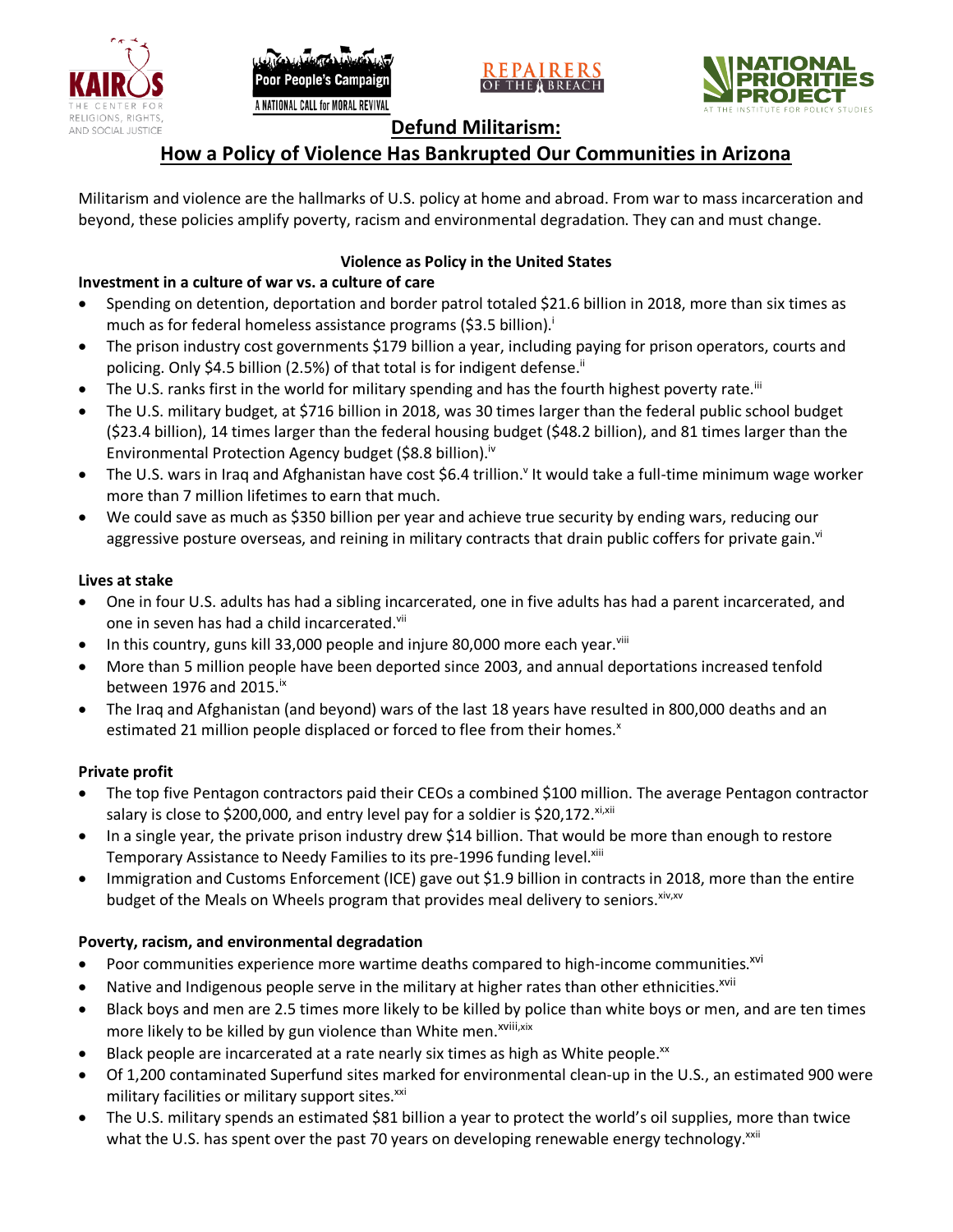







# **Defund Militarism:**

# **How a Policy of Violence Has Bankrupted Our Communities in Arizona**

Militarism and violence are the hallmarks of U.S. policy at home and abroad. From war to mass incarceration and beyond, these policies amplify poverty, racism and environmental degradation. They can and must change.

# **Violence as Policy in the United States**

# **Investment in a culture of war vs. a culture of care**

- Spending on detention, deportation and border patrol totaled \$21.6 billion in 2018, more than six times as much as for federal homeless assistance programs (\$3.5 billion).<sup>i</sup>
- The prison industry cost governments \$179 billion a year, including paying for prison operators, courts and policing. Only \$4.5 billion (2.5%) of that total is for indigent defense.<sup>ii</sup>
- The U.S. ranks first in the world for military spending and has the fourth highest poverty rate.<sup>iii</sup>
- The U.S. military budget, at \$716 billion in 2018, was 30 times larger than the federal public school budget (\$23.4 billion), 14 times larger than the federal housing budget (\$48.2 billion), and 81 times larger than the Environmental Protection Agency budget (\$8.8 billion).<sup>iv</sup>
- The U.S. wars in Iraq and Afghanistan have cost \$6.4 trillion.<sup>v</sup> It would take a full-time minimum wage worker more than 7 million lifetimes to earn that much.
- We could save as much as \$350 billion per year and achieve true security by ending wars, reducing our aggressive posture overseas, and reining in military contracts that drain public coffers for private gain.<sup>vi</sup>

### **Lives at stake**

- One in four U.S. adults has had a sibling incarcerated, one in five adults has had a parent incarcerated, and one in seven has had a child incarcerated.vii
- In this country, guns kill 33,000 people and injure 80,000 more each year. $v_{\text{lin}}$
- More than 5 million people have been deported since 2003, and annual deportations increased tenfold between 1976 and 2015. $\mathrm{i}$ <sup>x</sup>
- The Iraq and Afghanistan (and beyond) wars of the last 18 years have resulted in 800,000 deaths and an estimated 21 million people displaced or forced to flee from their homes.<sup>x</sup>

## **Private profit**

- The top five Pentagon contractors paid their CEOs a combined \$100 million. The average Pentagon contractor salary is close to \$200,000, and entry level pay for a soldier is \$20,172. xi,xii
- In a single year, the private prison industry drew \$14 billion. That would be more than enough to restore Temporary Assistance to Needy Families to its pre-1996 funding level.<sup>xiii</sup>
- Immigration and Customs Enforcement (ICE) gave out \$1.9 billion in contracts in 2018, more than the entire budget of the Meals on Wheels program that provides meal delivery to seniors. Xiv, XV

## **Poverty, racism, and environmental degradation**

- Poor communities experience more wartime deaths compared to high-income communities.<sup>xvi</sup>
- Native and Indigenous people serve in the military at higher rates than other ethnicities.<sup>xvii</sup>
- Black boys and men are 2.5 times more likely to be killed by police than white boys or men, and are ten times more likely to be killed by gun violence than White men.<sup>xviii,xix</sup>
- Black people are incarcerated at a rate nearly six times as high as White people.<sup>xx</sup>
- Of 1,200 contaminated Superfund sites marked for environmental clean-up in the U.S., an estimated 900 were military facilities or military support sites.<sup>xxi</sup>
- The U.S. military spends an estimated \$81 billion a year to protect the world's oil supplies, more than twice what the U.S. has spent over the past 70 years on developing renewable energy technology.<sup>xxii</sup>